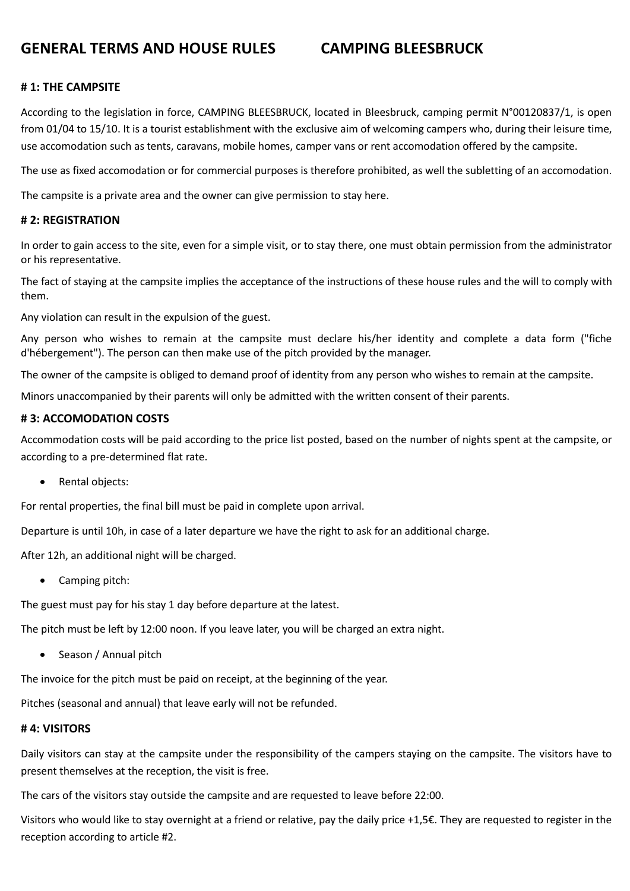# **GENERAL TERMS AND HOUSE RULES CAMPING BLEESBRUCK**

#### **# 1: THE CAMPSITE**

According to the legislation in force, CAMPING BLEESBRUCK, located in Bleesbruck, camping permit N°00120837/1, is open from 01/04 to 15/10. It is a tourist establishment with the exclusive aim of welcoming campers who, during their leisure time, use accomodation such as tents, caravans, mobile homes, camper vans or rent accomodation offered by the campsite.

The use as fixed accomodation or for commercial purposes is therefore prohibited, as well the subletting of an accomodation.

The campsite is a private area and the owner can give permission to stay here.

#### **# 2: REGISTRATION**

In order to gain access to the site, even for a simple visit, or to stay there, one must obtain permission from the administrator or his representative.

The fact of staying at the campsite implies the acceptance of the instructions of these house rules and the will to comply with them.

Any violation can result in the expulsion of the guest.

Any person who wishes to remain at the campsite must declare his/her identity and complete a data form ("fiche d'hébergement"). The person can then make use of the pitch provided by the manager.

The owner of the campsite is obliged to demand proof of identity from any person who wishes to remain at the campsite.

Minors unaccompanied by their parents will only be admitted with the written consent of their parents.

### **# 3: ACCOMODATION COSTS**

Accommodation costs will be paid according to the price list posted, based on the number of nights spent at the campsite, or according to a pre-determined flat rate.

• Rental objects:

For rental properties, the final bill must be paid in complete upon arrival.

Departure is until 10h, in case of a later departure we have the right to ask for an additional charge.

After 12h, an additional night will be charged.

• Camping pitch:

The guest must pay for his stay 1 day before departure at the latest.

The pitch must be left by 12:00 noon. If you leave later, you will be charged an extra night.

• Season / Annual pitch

The invoice for the pitch must be paid on receipt, at the beginning of the year.

Pitches (seasonal and annual) that leave early will not be refunded.

# **# 4: VISITORS**

Daily visitors can stay at the campsite under the responsibility of the campers staying on the campsite. The visitors have to present themselves at the reception, the visit is free.

The cars of the visitors stay outside the campsite and are requested to leave before 22:00.

Visitors who would like to stay overnight at a friend or relative, pay the daily price +1,5€. They are requested to register in the reception according to article #2.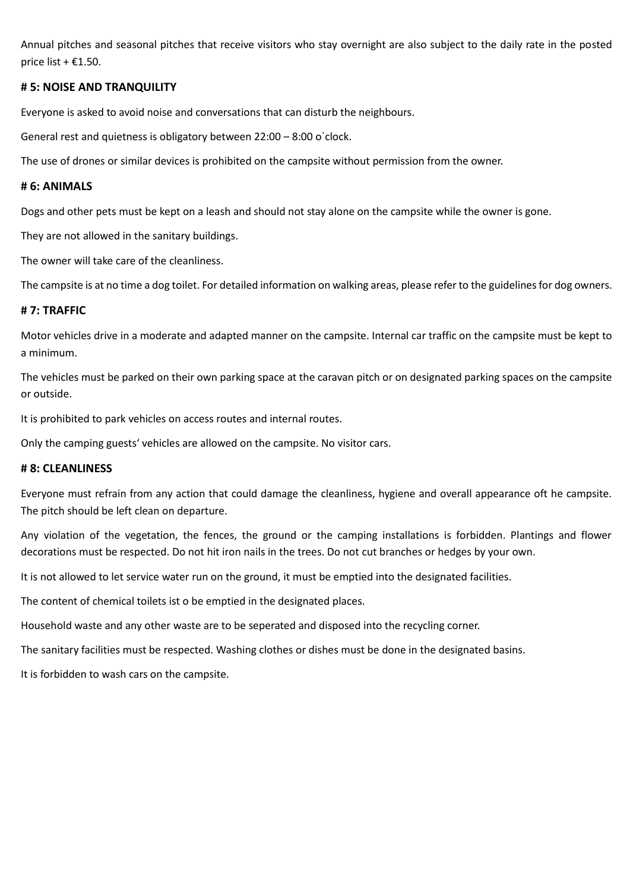Annual pitches and seasonal pitches that receive visitors who stay overnight are also subject to the daily rate in the posted price list +  $£1.50$ .

#### **# 5: NOISE AND TRANQUILITY**

Everyone is asked to avoid noise and conversations that can disturb the neighbours.

General rest and quietness is obligatory between 22:00 – 8:00 o`clock.

The use of drones or similar devices is prohibited on the campsite without permission from the owner.

#### **# 6: ANIMALS**

Dogs and other pets must be kept on a leash and should not stay alone on the campsite while the owner is gone.

They are not allowed in the sanitary buildings.

The owner will take care of the cleanliness.

The campsite is at no time a dog toilet. For detailed information on walking areas, please refer to the guidelines for dog owners.

#### **# 7: TRAFFIC**

Motor vehicles drive in a moderate and adapted manner on the campsite. Internal car traffic on the campsite must be kept to a minimum.

The vehicles must be parked on their own parking space at the caravan pitch or on designated parking spaces on the campsite or outside.

It is prohibited to park vehicles on access routes and internal routes.

Only the camping guests' vehicles are allowed on the campsite. No visitor cars.

#### **# 8: CLEANLINESS**

Everyone must refrain from any action that could damage the cleanliness, hygiene and overall appearance oft he campsite. The pitch should be left clean on departure.

Any violation of the vegetation, the fences, the ground or the camping installations is forbidden. Plantings and flower decorations must be respected. Do not hit iron nails in the trees. Do not cut branches or hedges by your own.

It is not allowed to let service water run on the ground, it must be emptied into the designated facilities.

The content of chemical toilets ist o be emptied in the designated places.

Household waste and any other waste are to be seperated and disposed into the recycling corner.

The sanitary facilities must be respected. Washing clothes or dishes must be done in the designated basins.

It is forbidden to wash cars on the campsite.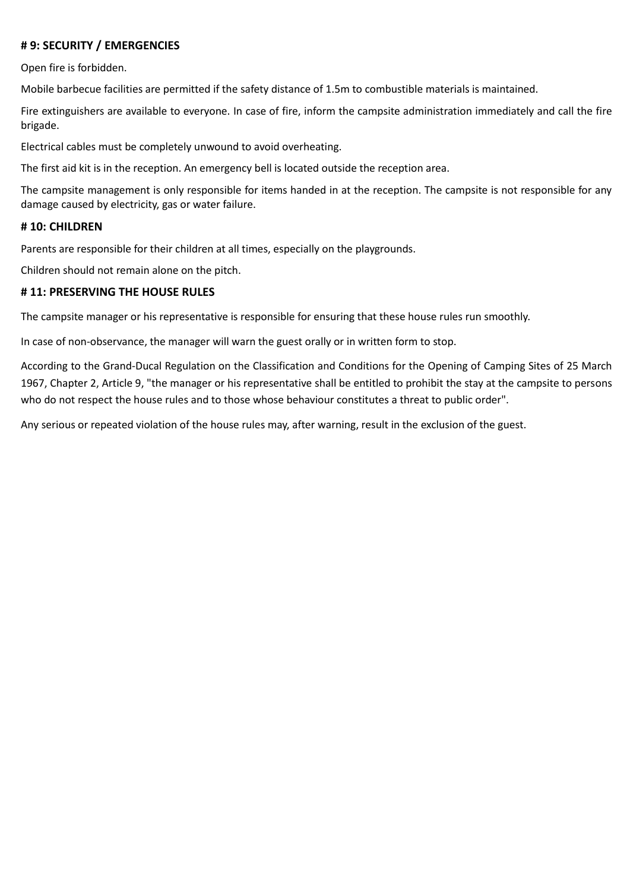### **# 9: SECURITY / EMERGENCIES**

Open fire is forbidden.

Mobile barbecue facilities are permitted if the safety distance of 1.5m to combustible materials is maintained.

Fire extinguishers are available to everyone. In case of fire, inform the campsite administration immediately and call the fire brigade.

Electrical cables must be completely unwound to avoid overheating.

The first aid kit is in the reception. An emergency bell is located outside the reception area.

The campsite management is only responsible for items handed in at the reception. The campsite is not responsible for any damage caused by electricity, gas or water failure.

#### **# 10: CHILDREN**

Parents are responsible for their children at all times, especially on the playgrounds.

Children should not remain alone on the pitch.

#### **# 11: PRESERVING THE HOUSE RULES**

The campsite manager or his representative is responsible for ensuring that these house rules run smoothly.

In case of non-observance, the manager will warn the guest orally or in written form to stop.

According to the Grand-Ducal Regulation on the Classification and Conditions for the Opening of Camping Sites of 25 March 1967, Chapter 2, Article 9, "the manager or his representative shall be entitled to prohibit the stay at the campsite to persons who do not respect the house rules and to those whose behaviour constitutes a threat to public order".

Any serious or repeated violation of the house rules may, after warning, result in the exclusion of the guest.